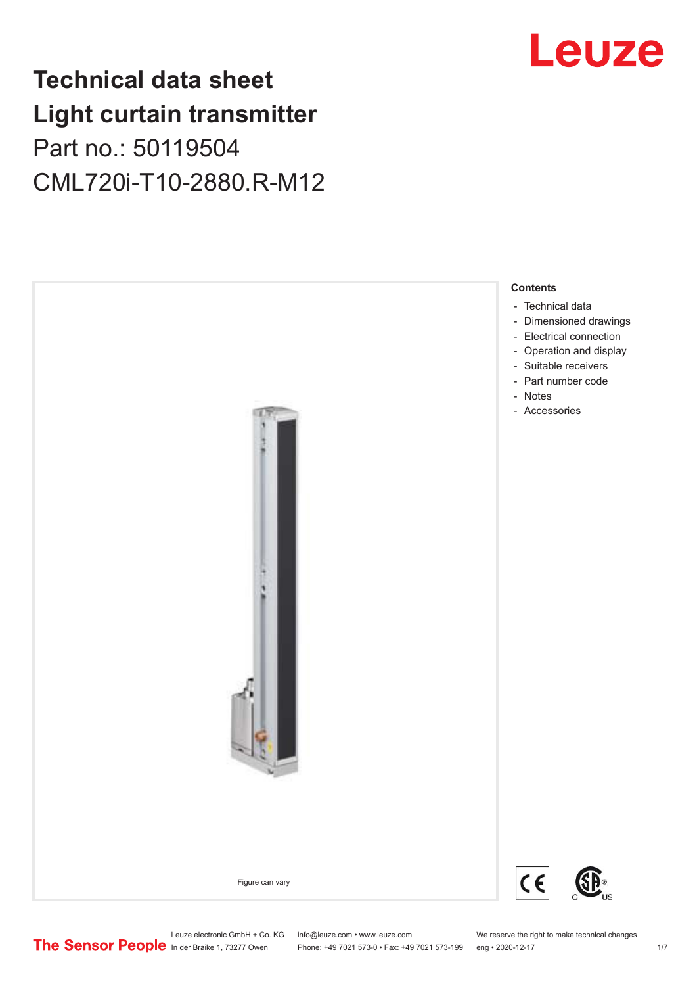## **Technical data sheet Light curtain transmitter** Part no.: 50119504 CML720i-T10-2880.R-M12





Leuze electronic GmbH + Co. KG info@leuze.com • www.leuze.com We reserve the right to make technical changes<br>
The Sensor People in der Braike 1, 73277 Owen Phone: +49 7021 573-0 • Fax: +49 7021 573-199 eng • 2020-12-17

Phone: +49 7021 573-0 • Fax: +49 7021 573-199 eng • 2020-12-17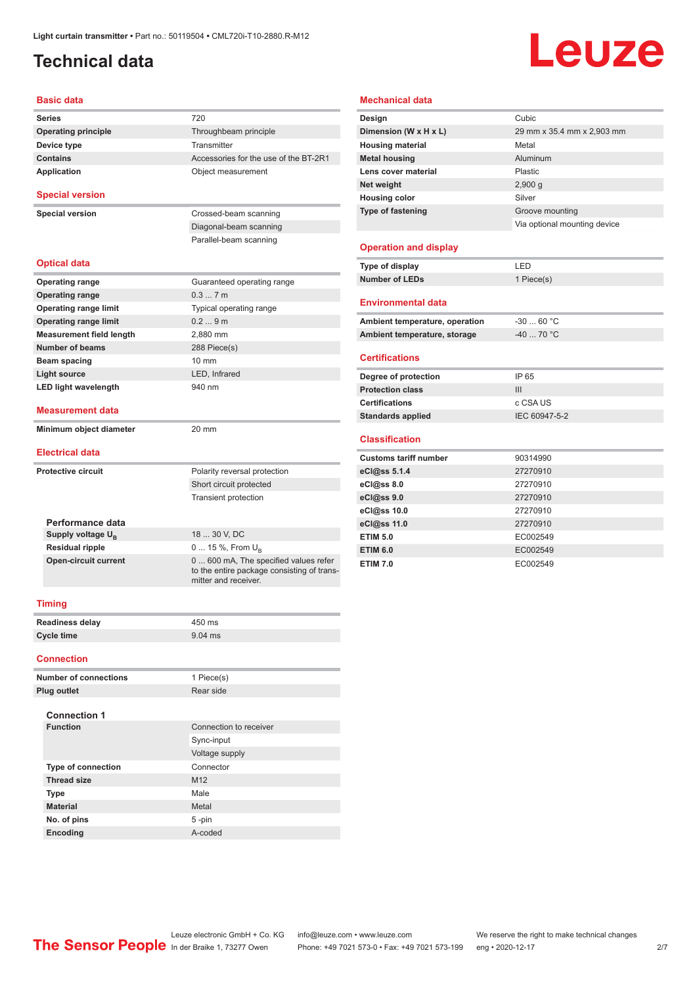### <span id="page-1-0"></span>**Technical data**

# Leuze

#### **Basic data**

| Series                          | 720                                                                                                         |  |  |
|---------------------------------|-------------------------------------------------------------------------------------------------------------|--|--|
| <b>Operating principle</b>      | Throughbeam principle                                                                                       |  |  |
| Device type                     | Transmitter                                                                                                 |  |  |
| <b>Contains</b>                 | Accessories for the use of the BT-2R1                                                                       |  |  |
| <b>Application</b>              | Object measurement                                                                                          |  |  |
| <b>Special version</b>          |                                                                                                             |  |  |
| <b>Special version</b>          | Crossed-beam scanning                                                                                       |  |  |
|                                 | Diagonal-beam scanning                                                                                      |  |  |
|                                 | Parallel-beam scanning                                                                                      |  |  |
| <b>Optical data</b>             |                                                                                                             |  |  |
| <b>Operating range</b>          | Guaranteed operating range                                                                                  |  |  |
| <b>Operating range</b>          | 0.37m                                                                                                       |  |  |
| <b>Operating range limit</b>    | Typical operating range                                                                                     |  |  |
| <b>Operating range limit</b>    | 0.29m                                                                                                       |  |  |
| <b>Measurement field length</b> | 2,880 mm                                                                                                    |  |  |
| <b>Number of beams</b>          | 288 Piece(s)                                                                                                |  |  |
| Beam spacing                    | $10 \text{ mm}$                                                                                             |  |  |
| <b>Light source</b>             | LED, Infrared                                                                                               |  |  |
| <b>LED light wavelength</b>     | 940 nm                                                                                                      |  |  |
| <b>Measurement data</b>         |                                                                                                             |  |  |
| Minimum object diameter         | 20 mm                                                                                                       |  |  |
| <b>Electrical data</b>          |                                                                                                             |  |  |
| <b>Protective circuit</b>       | Polarity reversal protection                                                                                |  |  |
|                                 | Short circuit protected                                                                                     |  |  |
|                                 | <b>Transient protection</b>                                                                                 |  |  |
| Performance data                |                                                                                                             |  |  |
| Supply voltage U <sub>B</sub>   | 18  30 V. DC                                                                                                |  |  |
| <b>Residual ripple</b>          | 0  15 %, From U <sub>B</sub>                                                                                |  |  |
| <b>Open-circuit current</b>     | 0  600 mA, The specified values refer<br>to the entire package consisting of trans-<br>mitter and receiver. |  |  |
| <b>Timing</b>                   |                                                                                                             |  |  |
| <b>Readiness delay</b>          | 450 ms                                                                                                      |  |  |
| <b>Cycle time</b>               | $9.04$ ms                                                                                                   |  |  |
| <b>Connection</b>               |                                                                                                             |  |  |

| <b>Number of connections</b> | 1 Piece(s)             |
|------------------------------|------------------------|
| <b>Plug outlet</b>           | Rear side              |
|                              |                        |
| <b>Connection 1</b>          |                        |
| <b>Function</b>              | Connection to receiver |
|                              | Sync-input             |
|                              | Voltage supply         |
| <b>Type of connection</b>    | Connector              |
| <b>Thread size</b>           | M <sub>12</sub>        |
| <b>Type</b>                  | Male                   |
| <b>Material</b>              | Metal                  |
| No. of pins                  | 5-pin                  |
| Encoding                     | A-coded                |

#### **Mechanical data**

| Design                         | Cubic                        |
|--------------------------------|------------------------------|
| Dimension (W x H x L)          | 29 mm x 35.4 mm x 2,903 mm   |
| <b>Housing material</b>        | Metal                        |
| <b>Metal housing</b>           | Aluminum                     |
| Lens cover material            | Plastic                      |
| Net weight                     | 2,900q                       |
| <b>Housing color</b>           | Silver                       |
| Type of fastening              | Groove mounting              |
|                                | Via optional mounting device |
|                                |                              |
| <b>Operation and display</b>   |                              |
| Type of display                | LED                          |
| <b>Number of LEDs</b>          | 1 Piece(s)                   |
|                                |                              |
| <b>Environmental data</b>      |                              |
| Ambient temperature, operation | $-3060 °C$                   |
| Ambient temperature, storage   | $-4070 °C$                   |
|                                |                              |
| <b>Certifications</b>          |                              |
| Degree of protection           | IP 65                        |
| <b>Protection class</b>        | III                          |
| <b>Certifications</b>          | c CSA US                     |
| <b>Standards applied</b>       | IEC 60947-5-2                |
|                                |                              |
| <b>Classification</b>          |                              |

| <b>Customs tariff number</b> | 90314990 |
|------------------------------|----------|
| eCl@ss 5.1.4                 | 27270910 |
| eCl@ss 8.0                   | 27270910 |
| eCl@ss 9.0                   | 27270910 |
| eCl@ss 10.0                  | 27270910 |
| eCl@ss 11.0                  | 27270910 |
| <b>ETIM 5.0</b>              | EC002549 |
| <b>ETIM 6.0</b>              | EC002549 |
| <b>ETIM 7.0</b>              | EC002549 |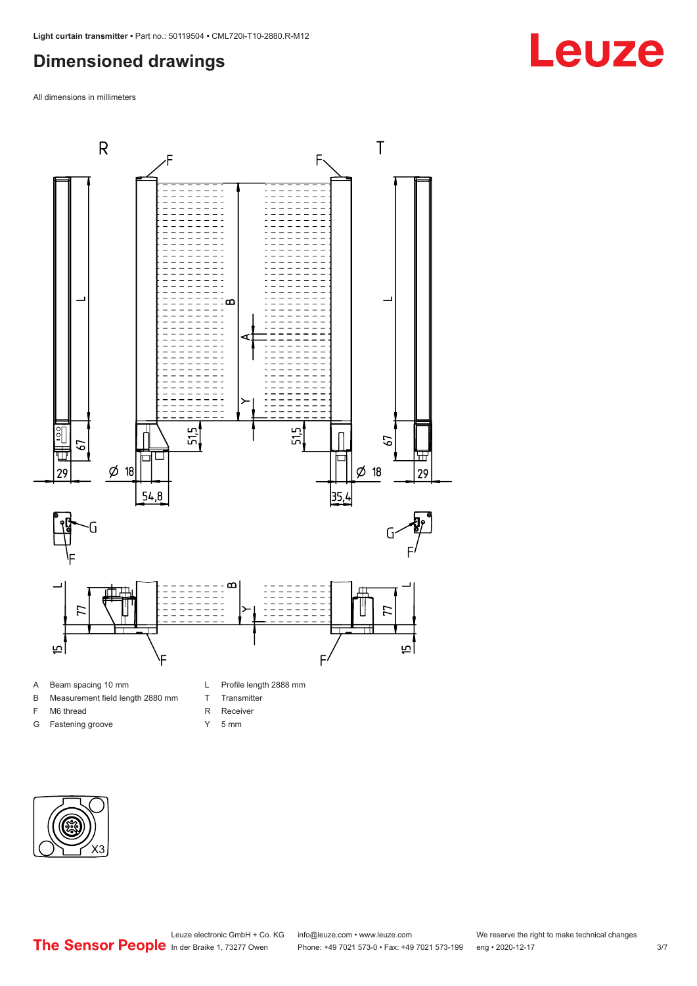### <span id="page-2-0"></span>**Dimensioned drawings**

All dimensions in millimeters



- A Beam spacing 10 mm
- B Measurement field length 2880 mm
- F M6 thread
- G Fastening groove
- L Profile length 2888 mm
- T Transmitter
- R Receiver
- Y 5 mm



## **Leuze**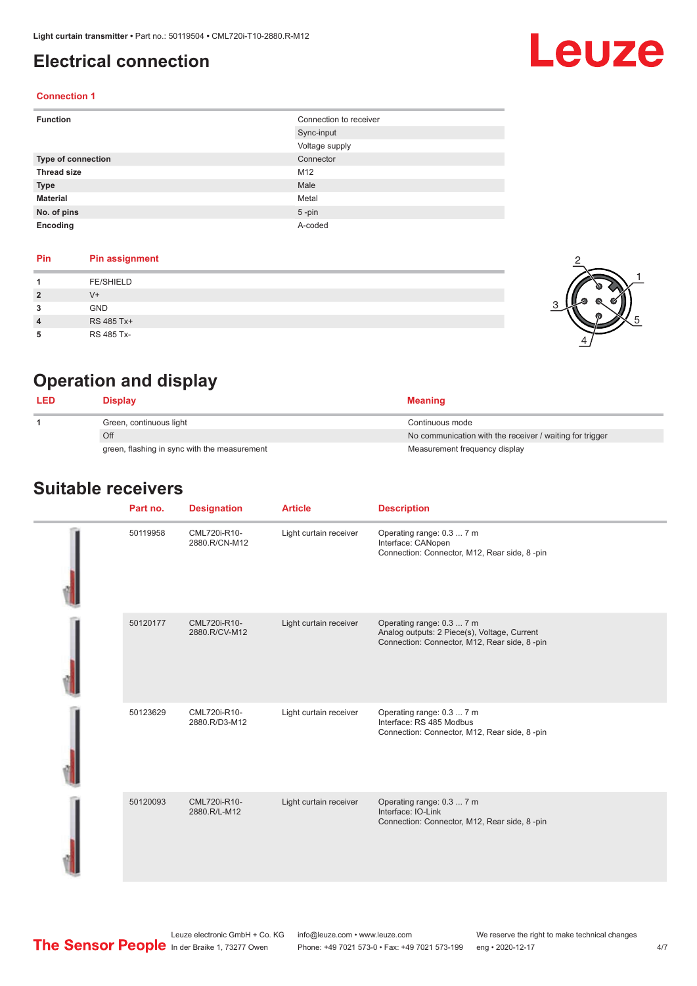### <span id="page-3-0"></span>**Electrical connection**

# Leuze

2

 $\frac{1}{2}$ 

 $\alpha$ 

1

5

#### **Connection 1**

| <b>Function</b>    | Connection to receiver |
|--------------------|------------------------|
|                    | Sync-input             |
|                    | Voltage supply         |
| Type of connection | Connector              |
| <b>Thread size</b> | M12                    |
| <b>Type</b>        | Male                   |
| <b>Material</b>    | Metal                  |
| No. of pins        | $5$ -pin               |
| Encoding           | A-coded                |

#### **Pin Pin assignment**

|                | <b>FE/SHIELD</b> |  |
|----------------|------------------|--|
| -2             | $V +$            |  |
| 3              | <b>GND</b>       |  |
| $\overline{4}$ | RS 485 Tx+       |  |
|                | RS 485 Tx-       |  |

### **Operation and display**

| <b>LED</b> | Display                                      | <b>Meaning</b>                                           |
|------------|----------------------------------------------|----------------------------------------------------------|
|            | Green, continuous light                      | Continuous mode                                          |
|            | Off                                          | No communication with the receiver / waiting for trigger |
|            | green, flashing in sync with the measurement | Measurement frequency display                            |

### **Suitable receivers**

| Part no. | <b>Designation</b>            | <b>Article</b>         | <b>Description</b>                                                                                                        |
|----------|-------------------------------|------------------------|---------------------------------------------------------------------------------------------------------------------------|
| 50119958 | CML720i-R10-<br>2880.R/CN-M12 | Light curtain receiver | Operating range: 0.3  7 m<br>Interface: CANopen<br>Connection: Connector, M12, Rear side, 8-pin                           |
| 50120177 | CML720i-R10-<br>2880.R/CV-M12 | Light curtain receiver | Operating range: 0.3  7 m<br>Analog outputs: 2 Piece(s), Voltage, Current<br>Connection: Connector, M12, Rear side, 8-pin |
| 50123629 | CML720i-R10-<br>2880.R/D3-M12 | Light curtain receiver | Operating range: 0.3  7 m<br>Interface: RS 485 Modbus<br>Connection: Connector, M12, Rear side, 8-pin                     |
| 50120093 | CML720i-R10-<br>2880.R/L-M12  | Light curtain receiver | Operating range: 0.3  7 m<br>Interface: IO-Link<br>Connection: Connector, M12, Rear side, 8-pin                           |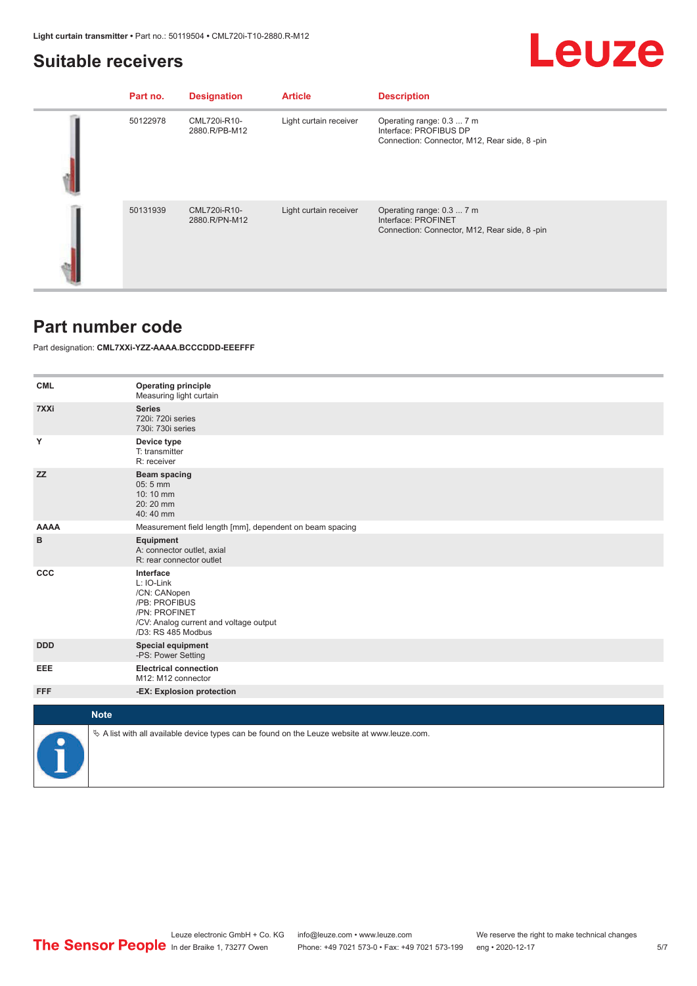### <span id="page-4-0"></span>**Suitable receivers**

## **Leuze**

| Part no. | <b>Designation</b>            | <b>Article</b>         | <b>Description</b>                                                                                  |
|----------|-------------------------------|------------------------|-----------------------------------------------------------------------------------------------------|
| 50122978 | CML720i-R10-<br>2880.R/PB-M12 | Light curtain receiver | Operating range: 0.3  7 m<br>Interface: PROFIBUS DP<br>Connection: Connector, M12, Rear side, 8-pin |
| 50131939 | CML720i-R10-<br>2880.R/PN-M12 | Light curtain receiver | Operating range: 0.3  7 m<br>Interface: PROFINET<br>Connection: Connector, M12, Rear side, 8-pin    |

### **Part number code**

Part designation: **CML7XXi-YZZ-AAAA.BCCCDDD-EEEFFF**

| <b>CML</b>  | <b>Operating principle</b><br>Measuring light curtain                                                                                     |
|-------------|-------------------------------------------------------------------------------------------------------------------------------------------|
| 7XXi        | <b>Series</b><br>720i: 720i series<br>730i: 730i series                                                                                   |
| Υ           | Device type<br>T: transmitter<br>R: receiver                                                                                              |
| <b>ZZ</b>   | <b>Beam spacing</b><br>05:5 mm<br>10:10 mm<br>20:20 mm<br>40:40 mm                                                                        |
| <b>AAAA</b> | Measurement field length [mm], dependent on beam spacing                                                                                  |
| в           | <b>Equipment</b><br>A: connector outlet, axial<br>R: rear connector outlet                                                                |
| CCC         | Interface<br>L: IO-Link<br>/CN: CANopen<br>/PB: PROFIBUS<br>/PN: PROFINET<br>/CV: Analog current and voltage output<br>/D3: RS 485 Modbus |
| <b>DDD</b>  | <b>Special equipment</b><br>-PS: Power Setting                                                                                            |
| EEE         | <b>Electrical connection</b><br>M12: M12 connector                                                                                        |
| <b>FFF</b>  | -EX: Explosion protection                                                                                                                 |
| <b>Note</b> |                                                                                                                                           |
|             |                                                                                                                                           |
|             | $\&$ A list with all available device types can be found on the Leuze website at www.leuze.com.                                           |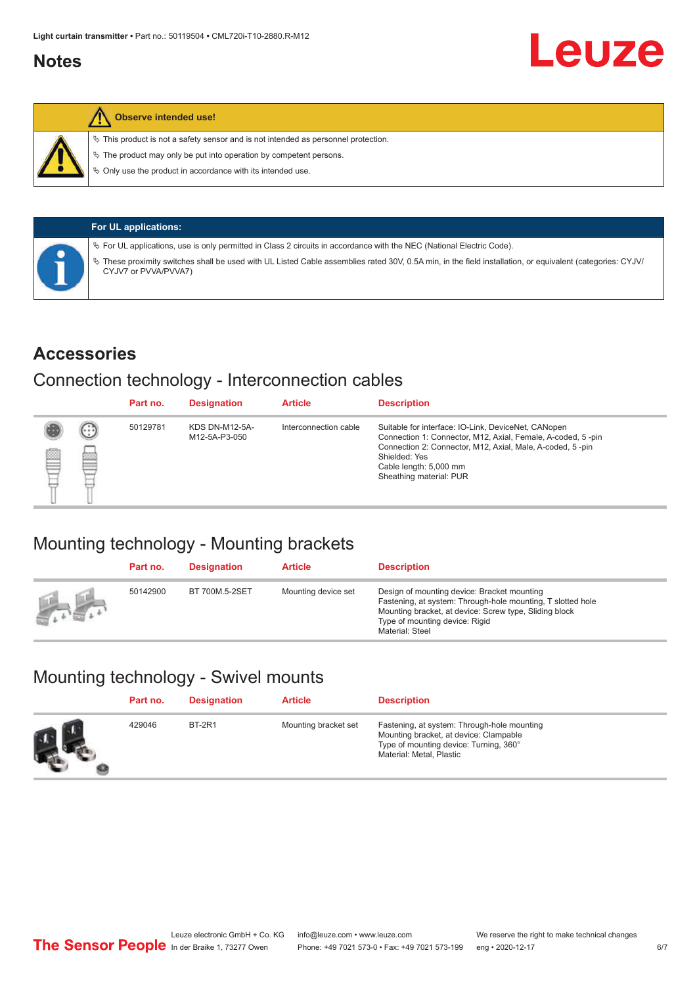### <span id="page-5-0"></span>**Notes**



#### **Observe intended use!**

 $\%$  This product is not a safety sensor and is not intended as personnel protection.

 $\%$  The product may only be put into operation by competent persons.

 $\%$  Only use the product in accordance with its intended use.

| <b>For UL applications:</b>                                                                                                                                                     |
|---------------------------------------------------------------------------------------------------------------------------------------------------------------------------------|
| $\%$ For UL applications, use is only permitted in Class 2 circuits in accordance with the NEC (National Electric Code).                                                        |
| These proximity switches shall be used with UL Listed Cable assemblies rated 30V, 0.5A min, in the field installation, or equivalent (categories: CYJV/<br>CYJV7 or PVVA/PVVA7) |

### **Accessories**

### Connection technology - Interconnection cables

|   |        | Part no. | <b>Designation</b>                     | <b>Article</b>        | <b>Description</b>                                                                                                                                                                                                                                    |
|---|--------|----------|----------------------------------------|-----------------------|-------------------------------------------------------------------------------------------------------------------------------------------------------------------------------------------------------------------------------------------------------|
| Ø | ⊙<br>œ | 50129781 | <b>KDS DN-M12-5A-</b><br>M12-5A-P3-050 | Interconnection cable | Suitable for interface: IO-Link, DeviceNet, CANopen<br>Connection 1: Connector, M12, Axial, Female, A-coded, 5-pin<br>Connection 2: Connector, M12, Axial, Male, A-coded, 5-pin<br>Shielded: Yes<br>Cable length: 5,000 mm<br>Sheathing material: PUR |

### Mounting technology - Mounting brackets

|               | Part no. | <b>Designation</b> | <b>Article</b>      | <b>Description</b>                                                                                                                                                                                                        |
|---------------|----------|--------------------|---------------------|---------------------------------------------------------------------------------------------------------------------------------------------------------------------------------------------------------------------------|
| <b>Altres</b> | 50142900 | BT 700M.5-2SET     | Mounting device set | Design of mounting device: Bracket mounting<br>Fastening, at system: Through-hole mounting, T slotted hole<br>Mounting bracket, at device: Screw type, Sliding block<br>Type of mounting device: Rigid<br>Material: Steel |

### Mounting technology - Swivel mounts

| Part no. | <b>Designation</b> | <b>Article</b>       | <b>Description</b>                                                                                                                                          |
|----------|--------------------|----------------------|-------------------------------------------------------------------------------------------------------------------------------------------------------------|
| 429046   | <b>BT-2R1</b>      | Mounting bracket set | Fastening, at system: Through-hole mounting<br>Mounting bracket, at device: Clampable<br>Type of mounting device: Turning, 360°<br>Material: Metal, Plastic |

Leuze